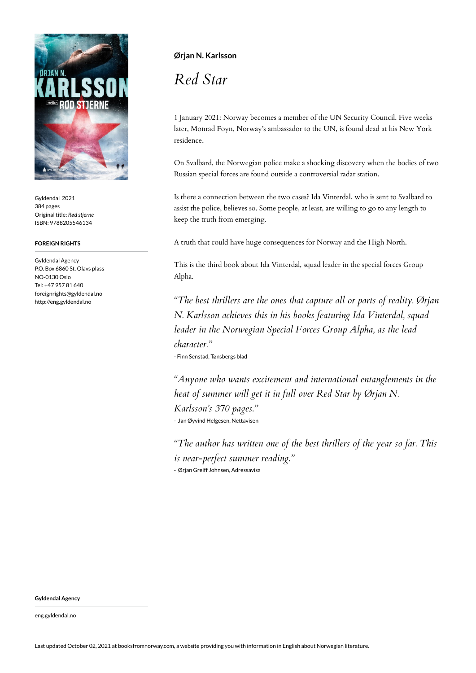

Gyldendal 2021 384 pages Original title: *Rød stjerne* ISBN: 9788205546134

## **FOREIGN RIGHTS**

Gyldendal Agency P.O. Box 6860 St. Olavs plass NO-0130 Oslo Tel: +47 957 81 640 foreignrights@gyldendal.no http://eng.gyldendal.no

## **Ørjan N. Karlsson**

*Red Star*

1 January 2021: Norway becomes a member of the UN Security Council. Five weeks later, Monrad Foyn, Norway's ambassador to the UN, is found dead at his New York residence.

On Svalbard, the Norwegian police make a shocking discovery when the bodies of two Russian special forces are found outside a controversial radar station.

Is there a connection between the two cases? Ida Vinterdal, who is sent to Svalbard to assist the police, believes so. Some people, at least, are willing to go to any length to keep the truth from emerging.

A truth that could have huge consequences for Norway and the High North.

This is the third book about Ida Vinterdal, squad leader in the special forces Group Alpha.

*"The best thrillers are the ones that capture all or parts of reality. Ørjan N. Karlsson achieves this in his books featuring Ida Vinterdal, squad leader in the Norwegian Special Forces Group Alpha, as the lead character."* - Finn Senstad, Tønsbergs blad

*"Anyone who wants excitement and international entanglements in the heat of summer will get it in full over Red Star by Ørjan N. Karlsson's 370 pages."* - Jan Øyvind Helgesen, Nettavisen

*"The author has written one of the best thrillers of the year so far. This is near-perfect summer reading."* - Ørjan Greiff Johnsen, Adressavisa

**Gyldendal Agency**

eng.gyldendal.no